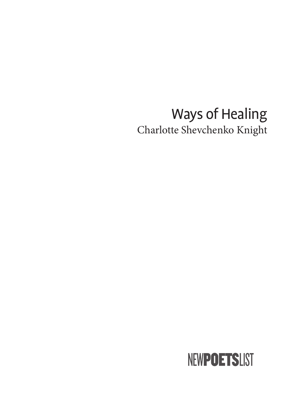# Ways of Healing Charlotte Shevchenko Knight

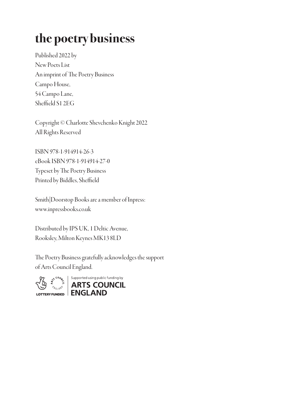# the poetry business

Published 2022 by New Poets List An imprint of The Poetry Business Campo House, 54 Campo Lane, Sheffield S1 2EG

Copyright © Charlotte Shevchenko Knight 2022 All Rights Reserved

ISBN 978-1-914914-26-3 eBook ISBN 978-1-914914-27-0 Typeset by The Poetry Business Printed by Biddles, Sheffield

Smith|Doorstop Books are a member of Inpress: www.inpressbooks.co.uk

Distributed by IPS UK, 1 Deltic Avenue, Rooksley, Milton Keynes MK13 8LD

The Poetry Business gratefully acknowledges the support of Arts Council England.

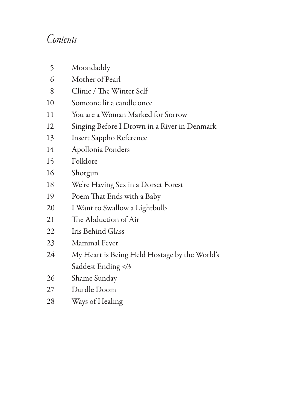#### *Contents*

| 5  | Moondaddy                                     |
|----|-----------------------------------------------|
| 6  | Mother of Pearl                               |
| 8  | Clinic / The Winter Self                      |
| 10 | Someone lit a candle once                     |
| 11 | You are a Woman Marked for Sorrow             |
| 12 | Singing Before I Drown in a River in Denmark  |
| 13 | <b>Insert Sappho Reference</b>                |
| 14 | Apollonia Ponders                             |
| 15 | Folklore                                      |
| 16 | Shotgun                                       |
| 18 | We're Having Sex in a Dorset Forest           |
| 19 | Poem That Ends with a Baby                    |
| 20 | I Want to Swallow a Lightbulb                 |
| 21 | The Abduction of Air                          |
| 22 | Iris Behind Glass                             |
| 23 | Mammal Fever                                  |
| 24 | My Heart is Being Held Hostage by the World's |
|    | Saddest Ending 3</td                          |
| 26 | Shame Sunday                                  |
| 27 | Durdle Doom                                   |
| 28 | Ways of Healing                               |
|    |                                               |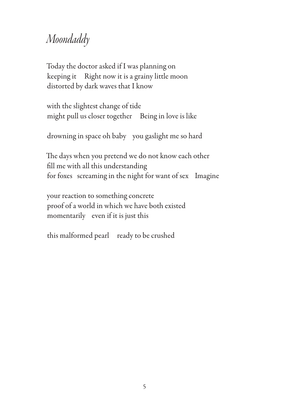#### *Moondaddy*

Today the doctor asked if I was planning on keeping it Right now it is a grainy little moon distorted by dark waves that I know

with the slightest change of tide might pull us closer together Being in love is like

drowning in space oh baby you gaslight me so hard

The days when you pretend we do not know each other fill me with all this understanding for foxes screaming in the night for want of sex Imagine

your reaction to something concrete proof of a world in which we have both existed momentarily even if it is just this

this malformed pearl ready to be crushed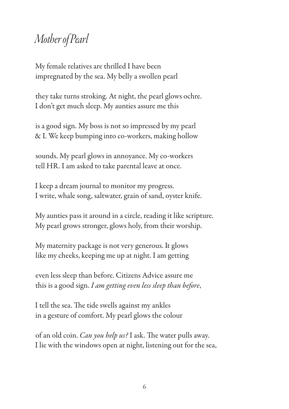## *Mother of Pearl*

My female relatives are thrilled I have been impregnated by the sea. My belly a swollen pearl

they take turns stroking. At night, the pearl glows ochre. I don't get much sleep. My aunties assure me this

is a good sign. My boss is not so impressed by my pearl & I. We keep bumping into co-workers, making hollow

sounds. My pearl glows in annoyance. My co-workers tell HR. I am asked to take parental leave at once.

I keep a dream journal to monitor my progress. I write, whale song, saltwater, grain of sand, oyster knife.

My aunties pass it around in a circle, reading it like scripture. My pearl grows stronger, glows holy, from their worship.

My maternity package is not very generous. It glows like my cheeks, keeping me up at night. I am getting

even less sleep than before. Citizens Advice assure me this is a good sign. *I am getting even less sleep than before*,

I tell the sea. The tide swells against my ankles in a gesture of comfort. My pearl glows the colour

of an old coin. *Can you help us?* I ask. The water pulls away. I lie with the windows open at night, listening out for the sea,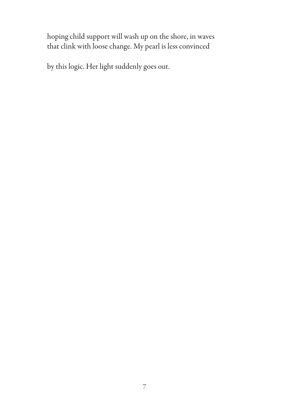hoping child support will wash up on the shore, in waves that clink with loose change. My pearl is less convinced

by this logic. Her light suddenly goes out.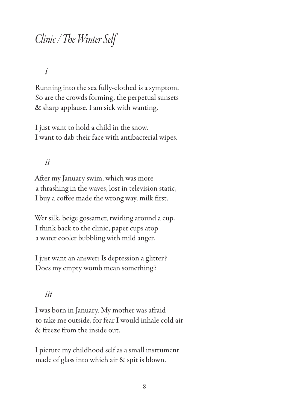### *Clinic /* !*e Winter Self*

*i* 

Running into the sea fully-clothed is a symptom. So are the crowds forming, the perpetual sunsets & sharp applause. I am sick with wanting.

I just want to hold a child in the snow. I want to dab their face with antibacterial wipes.

#### *ii*

After my January swim, which was more a thrashing in the waves, lost in television static, I buy a coffee made the wrong way, milk first.

Wet silk, beige gossamer, twirling around a cup. I think back to the clinic, paper cups atop a water cooler bubbling with mild anger.

I just want an answer: Is depression a glitter? Does my empty womb mean something?

#### *iii*

I was born in January. My mother was afraid to take me outside, for fear I would inhale cold air & freeze from the inside out.

I picture my childhood self as a small instrument made of glass into which air & spit is blown.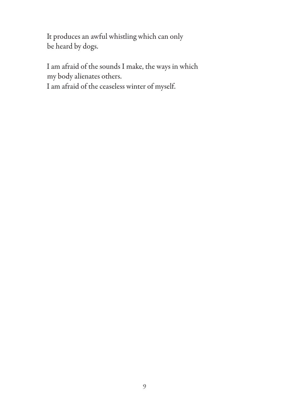It produces an awful whistling which can only be heard by dogs.

I am afraid of the sounds I make, the ways in which my body alienates others.

I am afraid of the ceaseless winter of myself.